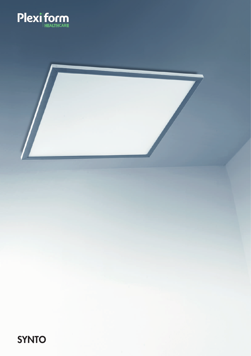



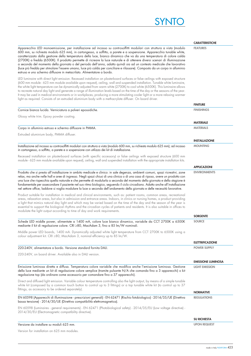

|                                                                                                                                                                                                                                                                                                                                                                                                                                                                                                                                                                                                                                                                                                                                                                                                                                         | <b>CARATTERISTICHE</b>    |
|-----------------------------------------------------------------------------------------------------------------------------------------------------------------------------------------------------------------------------------------------------------------------------------------------------------------------------------------------------------------------------------------------------------------------------------------------------------------------------------------------------------------------------------------------------------------------------------------------------------------------------------------------------------------------------------------------------------------------------------------------------------------------------------------------------------------------------------------|---------------------------|
| Apparecchio LED monoemissione, per installazione ad incasso su controsoffitti modulari con struttura a vista (modulo<br>600 mm, su richiesta modulo 625 mm), in cartongesso, a soffitto, a parete e a sospensione. Apparecchio tunable white,<br>caratterizzato dalla gestione della temperatura della luce, bianco dinamico che va da una temperatura di colore calda<br>(2700K) a fredda (6500K). Il prodotto permette di ricreare la luce naturale e di ottenere diversi scenari di illuminazione<br>a seconda del momento della giornata o del periodo dell'anno, adatto quindi sia ad un contesto medicale che lavorativo<br>(luce più fredda per stimolare l'essere umano, luce più calda per conciliare e rilassare). Composto da un corpo in alluminio<br>estruso e uno schermo diffusore in metacrilato. Alimentatore a bordo. | <b>FEATURES</b>           |
| LED luminaire with direct light emission. Recessed installation on plasterboard surfaces or false ceilings with exposed structure<br>(600 mm module - 625 mm module available upon request), ceiling, wall and suspended installation. Tunable white luminaire,<br>the white light temperature can be dynamically adjusted from warm white (2700K) to cool white (6500K). This luminaire allows<br>to recreate natural day light and generate a range of illumination levels based on the time of the day or the seasons of the year.<br>It may be used in medical environments or in workplaces, producing a more stimulating cooler light or a more relaxing warmer<br>light as required. Consists of an extruded aluminium body with a methacrylate diffuser. On board driver.                                                       |                           |
|                                                                                                                                                                                                                                                                                                                                                                                                                                                                                                                                                                                                                                                                                                                                                                                                                                         | <b>FINITURE</b>           |
| Cornice bianca lucida. Verniciatura a polveri epossidiche.                                                                                                                                                                                                                                                                                                                                                                                                                                                                                                                                                                                                                                                                                                                                                                              | <b>FINISHINGS</b>         |
| Glossy white trim. Epoxy powder coating.                                                                                                                                                                                                                                                                                                                                                                                                                                                                                                                                                                                                                                                                                                                                                                                                |                           |
|                                                                                                                                                                                                                                                                                                                                                                                                                                                                                                                                                                                                                                                                                                                                                                                                                                         | <b>MATERIALE</b>          |
| Corpo in alluminio estruso e schermo diffusore in PMMA.                                                                                                                                                                                                                                                                                                                                                                                                                                                                                                                                                                                                                                                                                                                                                                                 | <b>MATERIALS</b>          |
| Extruded aluminium body, PMMA diffuser.                                                                                                                                                                                                                                                                                                                                                                                                                                                                                                                                                                                                                                                                                                                                                                                                 |                           |
|                                                                                                                                                                                                                                                                                                                                                                                                                                                                                                                                                                                                                                                                                                                                                                                                                                         | <b>INSTALLAZIONE</b>      |
| Installazione ad incasso su controsoffitti modulari con struttura a vista (modulo 600 mm, su richiesta modulo 625 mm); ad incasso<br>in cartongesso, a soffitto, a parete e a sospensione con utilizzo dei kit di installazione.                                                                                                                                                                                                                                                                                                                                                                                                                                                                                                                                                                                                        | <b>MOUNTING</b>           |
| Recessed installation on plasterboard surfaces (with specific accessory) or false ceilings with exposed structure (600 mm<br>module - 625 mm module available upon request), ceiling, wall and suspended installation with the appropriate installation kits.                                                                                                                                                                                                                                                                                                                                                                                                                                                                                                                                                                           |                           |
|                                                                                                                                                                                                                                                                                                                                                                                                                                                                                                                                                                                                                                                                                                                                                                                                                                         | <b>APPLICAZIONI</b>       |
| Prodotto che si presta all'installazione in ambito medicale e clinico: in sale degenza, ambienti comuni, spazi ricreativi, zone<br>relax, ma anche nelle hall e aree di ingresso. Negli spazi chiusi di una clinica o di una casa di riposo, avere un prodotto con<br>una luce che rispecchia quella naturale e che permette di modularla a seconda del momento della giornata e della stagione è<br>fondamentale per assecondare il paziente nel suo ritmo biologico, seguendo il ciclo circadiano. Adatto anche all'installazione<br>nel settore office, laddove si voglia modulare la luce a seconda dell'andamento della giornata e delle necessità lavorative.                                                                                                                                                                     | <b>ENVIRONMENTS</b>       |
| Product suitable for installation in medical and clinical environments, such as: patient rooms, common areas, recreational<br>areas, relaxation areas, but also in admission and entrance areas. Indoors, in clinics or nursing homes, a product providing<br>a light that mimics natural day light and which may be varied based on the time of the day and the season of the year is<br>essential to support the biological rhythms and the circadian cycles of patients and residents. It is also suitable in offices to<br>modulate the light output according to time of day and work requirements.                                                                                                                                                                                                                                |                           |
|                                                                                                                                                                                                                                                                                                                                                                                                                                                                                                                                                                                                                                                                                                                                                                                                                                         | <b>SORGENTE</b>           |
| Schede LED middle power, alimentate a 1400 mA, colore luce bianco dinamico, variabile da CCT 2700K a 6500K<br>mediante il kit di regolazione colore. CRI ≥80, MacAdam 3, fino a 85 lm/W nominali.                                                                                                                                                                                                                                                                                                                                                                                                                                                                                                                                                                                                                                       | <b>SOURCE</b>             |
| Middle power LED boards, 1400 mA. Dynamically adjusted white light temperature from CCT 2700K to 6500K using a<br>colour adjustment kit. CRI ≥80, MacAdam 3, nominal efficiency up to 85 lm/W.                                                                                                                                                                                                                                                                                                                                                                                                                                                                                                                                                                                                                                          |                           |
|                                                                                                                                                                                                                                                                                                                                                                                                                                                                                                                                                                                                                                                                                                                                                                                                                                         | <b>ELETTRIFICAZIONE</b>   |
| 220-240V, alimentatore a bordo. Versione standard fornita DALI.                                                                                                                                                                                                                                                                                                                                                                                                                                                                                                                                                                                                                                                                                                                                                                         | <b>POWER SUPPLY</b>       |
| 220-240V, on board driver. Available also in DALI version.                                                                                                                                                                                                                                                                                                                                                                                                                                                                                                                                                                                                                                                                                                                                                                              |                           |
|                                                                                                                                                                                                                                                                                                                                                                                                                                                                                                                                                                                                                                                                                                                                                                                                                                         | <b>EMISSIONE LUMINOSA</b> |
| Emissione luminosa diretta e diffusa. Temperatura colore variabile che modifica anche l'emissione luminosa. Gestione<br>della luce mediante un kit di regolazione colore semplice (tramite pulsante N/A che comanda fino a 3 apparecchi) o kit<br>regolazione top (da ordinare come accessorio per comandare fino a 37 apparecchi).                                                                                                                                                                                                                                                                                                                                                                                                                                                                                                     | <b>LIGHT EMISSION</b>     |
| Direct and diffused light emission. Variable colour temperature controlling also the light output, by means of a simple tunable<br>white kit (composed by a common touch button to control up to 3 fittings) or a top tunable white kit (to control up to 37<br>fittings, as accessory to be ordered separately).                                                                                                                                                                                                                                                                                                                                                                                                                                                                                                                       |                           |
|                                                                                                                                                                                                                                                                                                                                                                                                                                                                                                                                                                                                                                                                                                                                                                                                                                         | <b>NORMATIVE</b>          |
| EN 60598 (Apparecchi di illuminazione - prescrizioni generali) - EN 62471 (Rischio fotobiologico) - 2014/35/UE (Direttiva<br>bassa tensione) - 2014/30/UE (Direttiva compatibilità elettromagnetica).                                                                                                                                                                                                                                                                                                                                                                                                                                                                                                                                                                                                                                   | <b>REGULATIONS</b>        |
| EN 60598 (Luminaires - general requirements) - EN 62471 (Photobiological safety) - 2014/35/EU (Low voltage directive) -<br>2014/30/EU (Electromagnetic compatibility directive).                                                                                                                                                                                                                                                                                                                                                                                                                                                                                                                                                                                                                                                        |                           |
|                                                                                                                                                                                                                                                                                                                                                                                                                                                                                                                                                                                                                                                                                                                                                                                                                                         | <b>SU RICHIESTA</b>       |
| Versione da installare su moduli 625 mm.                                                                                                                                                                                                                                                                                                                                                                                                                                                                                                                                                                                                                                                                                                                                                                                                | <b>UPON REQUEST</b>       |

Version for installation on 625 mm modules.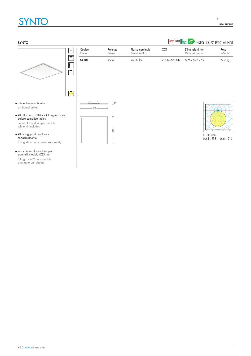## **SYNTC**

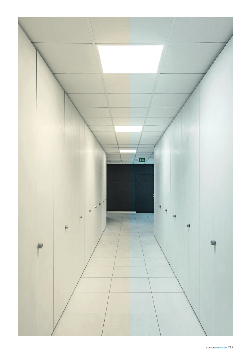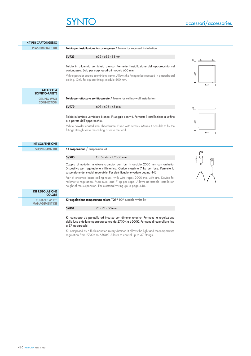

| <b>KIT PER CARTONGESSO</b>                    |                                                                                                                                                                                                                                                       |                                                                                                                                                                                                                                            |                              |
|-----------------------------------------------|-------------------------------------------------------------------------------------------------------------------------------------------------------------------------------------------------------------------------------------------------------|--------------------------------------------------------------------------------------------------------------------------------------------------------------------------------------------------------------------------------------------|------------------------------|
| <b>PLASTERBOARD KIT</b>                       |                                                                                                                                                                                                                                                       | Telaio per installazione in cartongesso / Frame for recessed installation                                                                                                                                                                  |                              |
|                                               | <b>SV925</b>                                                                                                                                                                                                                                          | $635 \times 635 \times 88$ mm                                                                                                                                                                                                              | $\texttt{\%}$ $\blacksquare$ |
|                                               | Telaio in alluminio verniciato bianco. Permette l'installazione dell'apparecchio nel<br>cartongesso. Solo per corpi quadrati modulo 600 mm.                                                                                                           |                                                                                                                                                                                                                                            |                              |
|                                               | White powder coated aluminium frame. Allows the fitting to be recessed in plasterboard<br>ceiling. Only for square fittings module 600 mm.                                                                                                            |                                                                                                                                                                                                                                            | 635<br>635                   |
| <b>ATTACCO A</b><br><b>SOFFITTO-PARETE</b>    |                                                                                                                                                                                                                                                       |                                                                                                                                                                                                                                            |                              |
| <b>CEILING-WALL</b><br><b>CONNECTION</b>      |                                                                                                                                                                                                                                                       | Telaio per attacco a soffitto-parete / Frame for ceiling-wall installation                                                                                                                                                                 |                              |
|                                               | <b>SV979</b>                                                                                                                                                                                                                                          | $603 \times 603 \times 45$ mm                                                                                                                                                                                                              | ΨŢ                           |
|                                               | o a parete dell'apparecchio.                                                                                                                                                                                                                          | Telaio in lamiera verniciata bianco. Fissaggio con viti. Permette l'installazione a soffitto                                                                                                                                               | 603                          |
|                                               | White powder coated steel sheet frame. Fixed with screws. Makes it possible to fix the<br>fittings straight onto the ceiling or onto the wall.                                                                                                        |                                                                                                                                                                                                                                            | 603                          |
| <b>KIT SOSPENSIONE</b>                        |                                                                                                                                                                                                                                                       |                                                                                                                                                                                                                                            |                              |
| <b>SUSPENSION KIT</b>                         |                                                                                                                                                                                                                                                       | Kit sospensione / Suspension kit                                                                                                                                                                                                           | Ø16                          |
|                                               | <b>SV980</b>                                                                                                                                                                                                                                          | Ø16x44 x L.2000 mm                                                                                                                                                                                                                         | $\frac{1}{4}$                |
|                                               | Coppia di nottolini in ottone cromato, con funi in acciaio 2000 mm con archetto.<br>Dispositivo per regolazione millimetrica. Carico massimo 7 kg per fune. Permette la<br>sospensione dei moduli regolabile. Per elettrificazione vedere pagina 446. |                                                                                                                                                                                                                                            |                              |
|                                               |                                                                                                                                                                                                                                                       | Pair of chromed brass ceiling roses, with wire ropes 2000 mm with arc. Device for<br>millimetric regulation. Maximum load 7 kg per rope. Allows adjustable installation<br>height of the suspension. For electrical wiring go to page 446. |                              |
| <b>KIT REGOLAZIONE</b><br><b>COLORE</b>       |                                                                                                                                                                                                                                                       |                                                                                                                                                                                                                                            |                              |
| <b>TUNABLE WHITE</b><br><b>MANAGEMENT KIT</b> |                                                                                                                                                                                                                                                       | Kit regolazione temperatura colore TOP/ TOP tunable white kit                                                                                                                                                                              |                              |
|                                               | <b>SY801</b>                                                                                                                                                                                                                                          | 71 x 71 x 50 mm                                                                                                                                                                                                                            |                              |
|                                               | a 37 apparecchi.                                                                                                                                                                                                                                      | Kit composto da pannello ad incasso con dimmer rotativo. Permette la regolazione<br>della luce e della temperatura colore da 2700K a 6500K. Permette di controllare fino                                                                   |                              |

Kit composed by a flush-mounted rotary dimmer. It allows the light and the temperature regulation from 2700K to 6500K. Allows to control up to 37 fittings.